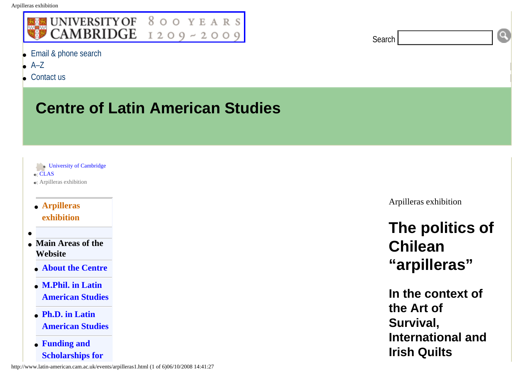## <span id="page-0-0"></span>UNIVERSITY OF 800 YEARS CAMBRIDGE  $1209 - 2009$

- [Email & phone search](http://www.cam.ac.uk/global/search/)
- $A 7$
- [Contact us](http://www.latin-american.cam.ac.uk/centre/contact/index.html)

## **Centre of Latin American Studies**

- [University of Cambridge](http://www.cam.ac.uk/) ● [CLAS](http://www.latin-american.cam.ac.uk/) ● Arpilleras exhibition
- **[Arpilleras](#page-0-0)  [exhibition](#page-0-0)**
- **Main Areas of the Website**
- **[About the Centre](http://www.latin-american.cam.ac.uk/info/)**
- **[M.Phil. in Latin](http://www.latin-american.cam.ac.uk/study/mphil/)  [American Studies](http://www.latin-american.cam.ac.uk/study/mphil/)**
- **[Ph.D. in Latin](http://www.latin-american.cam.ac.uk/study/phd/)  [American Studies](http://www.latin-american.cam.ac.uk/study/phd/)**
- **[Funding and](http://www.latin-american.cam.ac.uk/study/funding/)  [Scholarships for](http://www.latin-american.cam.ac.uk/study/funding/)**

http://www.latin-american.cam.ac.uk/events/arpilleras1.html (1 of 6)06/10/2008 14:41:27

Arpilleras exhibition

**Search** 

## **The politics of Chilean "arpilleras"**

O

**In the context of the Art of Survival, International and Irish Quilts**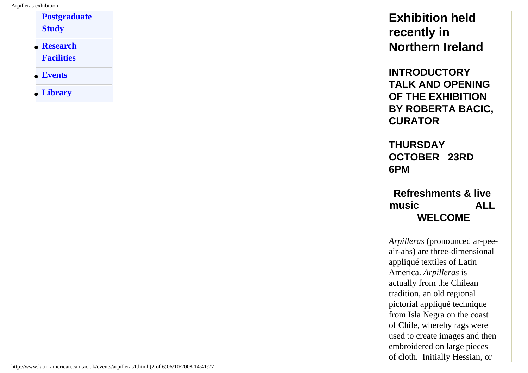**[Postgraduate](http://www.latin-american.cam.ac.uk/study/funding/) [Study](http://www.latin-american.cam.ac.uk/study/funding/)**

- **[Research](http://www.latin-american.cam.ac.uk/research/) [Facilities](http://www.latin-american.cam.ac.uk/research/)**
- **[Events](http://www.latin-american.cam.ac.uk/events/)**
- **[Library](http://www.latin-american.cam.ac.uk/library/)**

**Exhibition held recently in Northern Ireland** 

**INTRODUCTORY TALK AND OPENING OF THE EXHIBITION BY ROBERTA BACIC, CURATOR** 

**THURSDAY OCTOBER 23RD 6PM** 

**Refreshments & live music ALL WELCOME** 

*Arpilleras* (pronounced ar-peeair-ahs) are three-dimensional appliqué textiles of Latin America. *Arpilleras* is actually from the Chilean tradition, an old regional pictorial appliqué technique from Isla Negra on the coast of Chile, whereby rags were used to create images and then embroidered on large pieces of cloth. Initially Hessian, or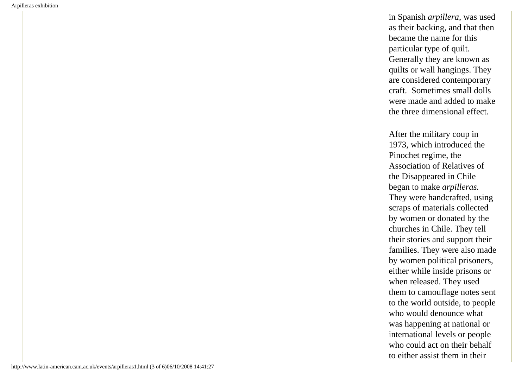in Spanish *arpillera*, was used as their backing, and that then became the name for this particular type of quilt. Generally they are known as quilts or wall hangings. They are considered contemporary craft. Sometimes small dolls were made and added to make the three dimensional effect.

After the military coup in 1973, which introduced the Pinochet regime, the Association of Relatives of the Disappeared in Chile began to make *arpilleras.* They were handcrafted, using scraps of materials collected by women or donated by the churches in Chile. They tell their stories and support their families. They were also made by women political prisoners, either while inside prisons or when released. They used them to camouflage notes sent to the world outside, to people who would denounce what was happening at national or international levels or people who could act on their behalf to either assist them in their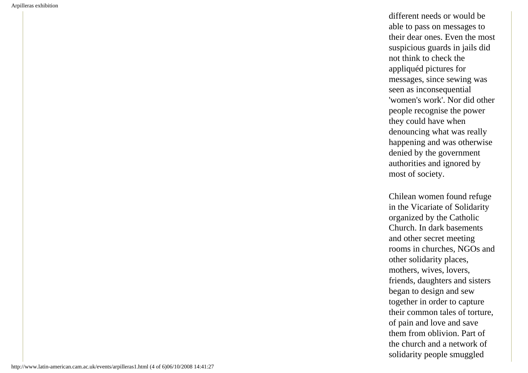different needs or would be able to pass on messages to their dear ones. Even the most suspicious guards in jails did not think to check the appliquéd pictures for messages, since sewing was seen as inconsequential 'women's work'. Nor did other people recognise the power they could have when denouncing what was really happening and was otherwise denied by the government authorities and ignored by most of society.

Chilean women found refuge in the Vicariate of Solidarity organized by the Catholic Church. In dark basements and other secret meeting rooms in churches, NGOs and other solidarity places, mothers, wives, lovers, friends, daughters and sisters began to design and sew together in order to capture their common tales of torture, of pain and love and save them from oblivion. Part of the church and a network of solidarity people smuggled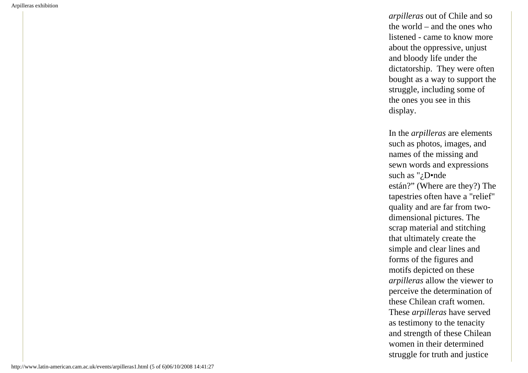*arpilleras* out of Chile and so the world – and the ones who listened - came to know more about the oppressive, unjust and bloody life under the dictatorship. They were often bought as a way to support the struggle, including some of the ones you see in this display.

In the *arpilleras* are elements such as photos, images, and names of the missing and sewn words and expressions such as "¿D•nde están?" (Where are they?) The tapestries often have a "relief" quality and are far from twodimensional pictures. The scrap material and stitching that ultimately create the simple and clear lines and forms of the figures and motifs depicted on these *arpilleras* allow the viewer to perceive the determination of these Chilean craft women. These *arpilleras* have served as testimony to the tenacity and strength of these Chilean women in their determined struggle for truth and justice